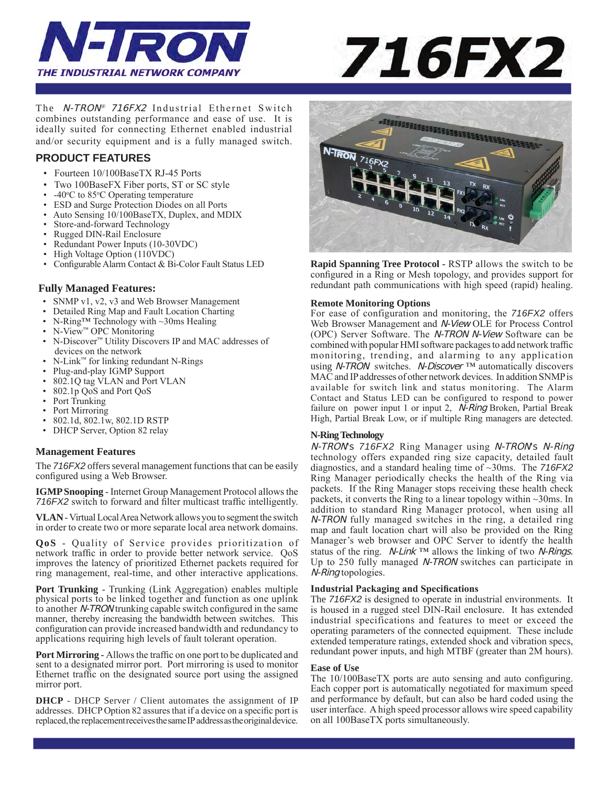



The N-TRON*®* 716FX2 Industrial Ethernet Switch combines outstanding performance and ease of use. It is ideally suited for connecting Ethernet enabled industrial and/or security equipment and is a fully managed switch.

# **PRODUCT FEATURES**

- Fourteen 10/100BaseTX RJ-45 Ports
- Two 100BaseFX Fiber ports, ST or SC style
- -40°C to 85°C Operating temperature
- ESD and Surge Protection Diodes on all Ports
- Auto Sensing 10/100BaseTX, Duplex, and MDIX
- Store-and-forward Technology
- Rugged DIN-Rail Enclosure
- Redundant Power Inputs (10-30VDC)
- High Voltage Option (110VDC)
- Configurable Alarm Contact & Bi-Color Fault Status LED

## **Fully Managed Features:**

- SNMP v1, v2, v3 and Web Browser Management
- Detailed Ring Map and Fault Location Charting<br>• N-Ring M Technology with  $\sim$  30ms Healing
- N-Ring™ Technology with ~30ms Healing
- N-View<sup>™</sup> OPC Monitoring
- N-Discover™ Utility Discovers IP and MAC addresses of devices on the network
- N-Link™ for linking redundant N-Rings
- Plug-and-play IGMP Support
- 802.1Q tag VLAN and Port VLAN
- 802.1p QoS and Port QoS
- Port Trunking
- Port Mirroring
- 802.1d, 802.1w, 802.1D RSTP
- DHCP Server, Option 82 relay

## **Management Features**

The *716FX2* offers several management functions that can be easily configured using a Web Browser.

**IGMP Snooping** - Internet Group Management Protocol allows the *716FX2* switch to forward and filter multicast traffic intelligently.

**VLAN** - Virtual Local Area Network allows you to segment the switch in order to create two or more separate local area network domains.

**QoS** - Quality of Service provides prioritization of network traffic in order to provide better network service. QoS improves the latency of prioritized Ethernet packets required for ring management, real-time, and other interactive applications.

**Port Trunking** - Trunking (Link Aggregation) enables multiple physical ports to be linked together and function as one uplink to another N-TRON trunking capable switch configured in the same manner, thereby increasing the bandwidth between switches. This configuration can provide increased bandwidth and redundancy to applications requiring high levels of fault tolerant operation.

**Port Mirroring -** Allows the traffic on one port to be duplicated and sent to a designated mirror port. Port mirroring is used to monitor Ethernet traffic on the designated source port using the assigned mirror port.

**DHCP** - DHCP Server / Client automates the assignment of IP addresses. DHCP Option 82 assures that if a device on a specific port is replaced, the replacement receives the same IP address as the original device.



**Rapid Spanning Tree Protocol -** RSTP allows the switch to be configured in a Ring or Mesh topology, and provides support for redundant path communications with high speed (rapid) healing.

## **Remote Monitoring Options**

For ease of configuration and monitoring, the *716FX2* offers Web Browser Management and N-View OLE for Process Control (OPC) Server Software. The N-TRON N-View Software can be combined with popular HMI software packages to add network traffic monitoring, trending, and alarming to any application using *N-TRON* switches. *N-Discover* ™ automatically discovers MAC and IP addresses of other network devices. In addition SNMP is available for switch link and status monitoring. The Alarm Contact and Status LED can be configured to respond to power failure on power input 1 or input 2, *N-Ring* Broken, Partial Break High, Partial Break Low, or if multiple Ring managers are detected.

## **N-Ring Technology**

N-TRON's *716FX2* Ring Manager using N-TRON's N-Ring technology offers expanded ring size capacity, detailed fault diagnostics, and a standard healing time of ~30ms. The *716FX2* Ring Manager periodically checks the health of the Ring via packets. If the Ring Manager stops receiving these health check packets, it converts the Ring to a linear topology within ~30ms. In addition to standard Ring Manager protocol, when using all N-TRON fully managed switches in the ring, a detailed ring map and fault location chart will also be provided on the Ring Manager's web browser and OPC Server to identfy the health status of the ring.  $N$ -Link ™ allows the linking of two N-Rings. Up to 250 fully managed N-TRON switches can participate in N-Ring topologies.

## **Industrial Packaging and Specifications**

The *716FX2* is designed to operate in industrial environments. It is housed in a rugged steel DIN-Rail enclosure. It has extended industrial specifications and features to meet or exceed the operating parameters of the connected equipment. These include extended temperature ratings, extended shock and vibration specs, redundant power inputs, and high MTBF (greater than 2M hours).

#### **Ease of Use**

The 10/100BaseTX ports are auto sensing and auto configuring. Each copper port is automatically negotiated for maximum speed and performance by default, but can also be hard coded using the user interface. A high speed processor allows wire speed capability on all 100BaseTX ports simultaneously.